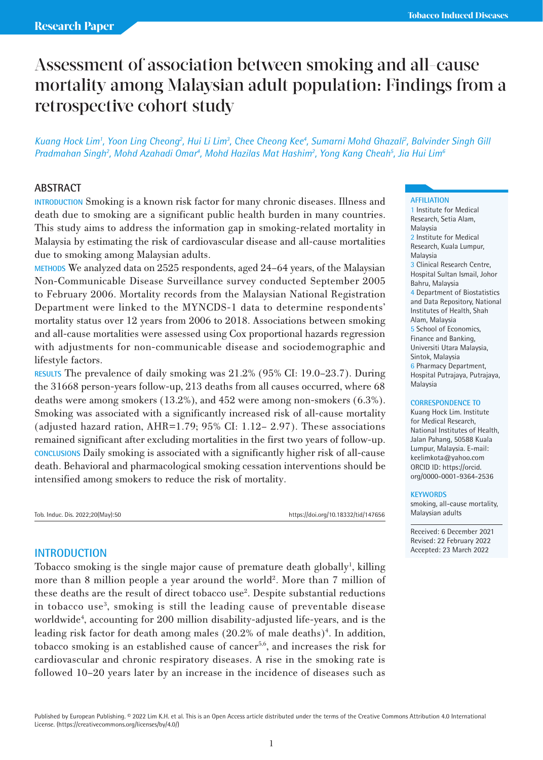# Assessment of association between smoking and all-cause mortality among Malaysian adult population: Findings from a retrospective cohort study

Kuang Hock Lim<sup>1</sup>, Yoon Ling Cheong<sup>2</sup>, Hui Li Lim<sup>3</sup>, Chee Cheong Kee<sup>4</sup>, Sumarni Mohd Ghazali<sup>2</sup>, Balvinder Singh Gill *Pradmahan Singh2 , Mohd Azahadi Omar4 , Mohd Hazilas Mat Hashim2 , Yong Kang Cheah5 , Jia Hui Lim6*

# **ABSTRACT**

**INTRODUCTION** Smoking is a known risk factor for many chronic diseases. Illness and death due to smoking are a significant public health burden in many countries. This study aims to address the information gap in smoking-related mortality in Malaysia by estimating the risk of cardiovascular disease and all-cause mortalities due to smoking among Malaysian adults.

**METHODS** We analyzed data on 2525 respondents, aged 24–64 years, of the Malaysian Non-Communicable Disease Surveillance survey conducted September 2005 to February 2006. Mortality records from the Malaysian National Registration Department were linked to the MYNCDS-1 data to determine respondents' mortality status over 12 years from 2006 to 2018. Associations between smoking and all-cause mortalities were assessed using Cox proportional hazards regression with adjustments for non-communicable disease and sociodemographic and lifestyle factors.

**RESULTS** The prevalence of daily smoking was 21.2% (95% CI: 19.0–23.7). During the 31668 person-years follow-up, 213 deaths from all causes occurred, where 68 deaths were among smokers (13.2%), and 452 were among non-smokers (6.3%). Smoking was associated with a significantly increased risk of all-cause mortality (adjusted hazard ration, AHR=1.79; 95% CI: 1.12– 2.97). These associations remained significant after excluding mortalities in the first two years of follow-up. **CONCLUSIONS** Daily smoking is associated with a significantly higher risk of all-cause death. Behavioral and pharmacological smoking cessation interventions should be intensified among smokers to reduce the risk of mortality.

Tob. Induc. Dis. 2022;20(May):50 https://doi.org/10.18332/tid/147656

### **INTRODUCTION**

Tobacco smoking is the single major cause of premature death globally<sup>1</sup>, killing more than 8 million people a year around the world<sup>2</sup>. More than 7 million of these deaths are the result of direct tobacco use<sup>2</sup>. Despite substantial reductions in tobacco use<sup>3</sup>, smoking is still the leading cause of preventable disease worldwide4 , accounting for 200 million disability-adjusted life-years, and is the leading risk factor for death among males (20.2% of male deaths)<sup>4</sup>. In addition, tobacco smoking is an established cause of cancer<sup>5,6</sup>, and increases the risk for cardiovascular and chronic respiratory diseases. A rise in the smoking rate is followed 10–20 years later by an increase in the incidence of diseases such as

#### **AFFILIATION**

1 Institute for Medical Research, Setia Alam, Malaysia 2 Institute for Medical Research, Kuala Lumpur, Malaysia 3 Clinical Research Centre, Hospital Sultan Ismail, Johor Bahru, Malaysia 4 Department of Biostatistics and Data Repository, National Institutes of Health, Shah Alam, Malaysia 5 School of Economics, Finance and Banking, Universiti Utara Malaysia, Sintok, Malaysia 6 Pharmacy Department, Hospital Putrajaya, Putrajaya, Malaysia

#### **CORRESPONDENCE TO**

Kuang Hock Lim. Institute for Medical Research, National Institutes of Health, Jalan Pahang, 50588 Kuala Lumpur, Malaysia. E-mail: keelimkota@yahoo.com ORCID ID: https://orcid. org/0000-0001-9364-2536

#### **KEYWORDS**

smoking, all-cause mortality, Malaysian adults

Received: 6 December 2021 Revised: 22 February 2022 Accepted: 23 March 2022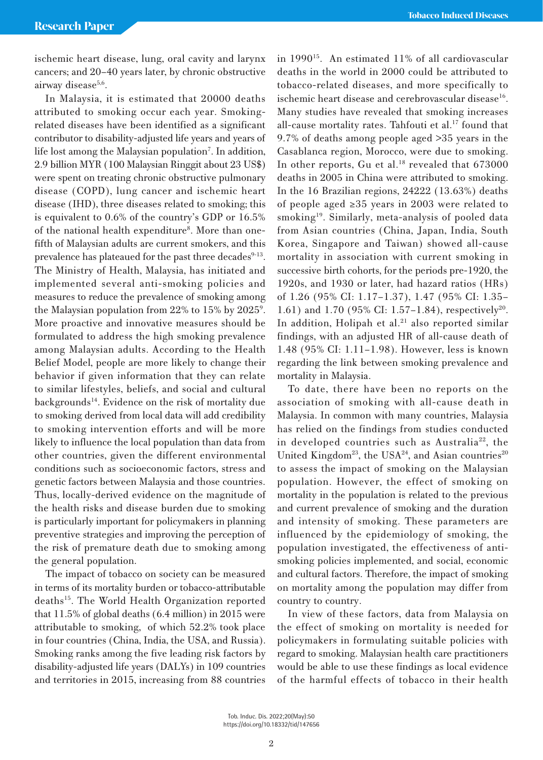ischemic heart disease, lung, oral cavity and larynx cancers; and 20–40 years later, by chronic obstructive airway disease<sup>5,6</sup>.

In Malaysia, it is estimated that 20000 deaths attributed to smoking occur each year. Smokingrelated diseases have been identified as a significant contributor to disability-adjusted life years and years of life lost among the Malaysian population<sup>7</sup>. In addition, 2.9 billion MYR (100 Malaysian Ringgit about 23 US\$) were spent on treating chronic obstructive pulmonary disease (COPD), lung cancer and ischemic heart disease (IHD), three diseases related to smoking; this is equivalent to 0.6% of the country's GDP or 16.5% of the national health expenditure<sup>8</sup>. More than onefifth of Malaysian adults are current smokers, and this prevalence has plateaued for the past three decades<sup>9-13</sup>. The Ministry of Health, Malaysia, has initiated and implemented several anti-smoking policies and measures to reduce the prevalence of smoking among the Malaysian population from 22% to 15% by 2025<sup>9</sup>. More proactive and innovative measures should be formulated to address the high smoking prevalence among Malaysian adults. According to the Health Belief Model, people are more likely to change their behavior if given information that they can relate to similar lifestyles, beliefs, and social and cultural backgrounds<sup>14</sup>. Evidence on the risk of mortality due to smoking derived from local data will add credibility to smoking intervention efforts and will be more likely to influence the local population than data from other countries, given the different environmental conditions such as socioeconomic factors, stress and genetic factors between Malaysia and those countries. Thus, locally-derived evidence on the magnitude of the health risks and disease burden due to smoking is particularly important for policymakers in planning preventive strategies and improving the perception of the risk of premature death due to smoking among the general population.

The impact of tobacco on society can be measured in terms of its mortality burden or tobacco-attributable deaths15. The World Health Organization reported that 11.5% of global deaths (6.4 million) in 2015 were attributable to smoking, of which 52.2% took place in four countries (China, India, the USA, and Russia). Smoking ranks among the five leading risk factors by disability-adjusted life years (DALYs) in 109 countries and territories in 2015, increasing from 88 countries in 199015. An estimated 11% of all cardiovascular deaths in the world in 2000 could be attributed to tobacco-related diseases, and more specifically to ischemic heart disease and cerebrovascular disease<sup>16</sup>. Many studies have revealed that smoking increases all-cause mortality rates. Tahfouti et al.<sup>17</sup> found that 9.7% of deaths among people aged >35 years in the Casablanca region, Morocco, were due to smoking. In other reports, Gu et al.<sup>18</sup> revealed that 673000 deaths in 2005 in China were attributed to smoking. In the 16 Brazilian regions, 24222 (13.63%) deaths of people aged ≥35 years in 2003 were related to smoking<sup>19</sup>. Similarly, meta-analysis of pooled data from Asian countries (China, Japan, India, South Korea, Singapore and Taiwan) showed all-cause mortality in association with current smoking in successive birth cohorts, for the periods pre-1920, the 1920s, and 1930 or later, had hazard ratios (HRs) of 1.26 (95% CI: 1.17–1.37), 1.47 (95% CI: 1.35– 1.61) and 1.70 (95% CI: 1.57–1.84), respectively<sup>20</sup>. In addition, Holipah et al.<sup>21</sup> also reported similar findings, with an adjusted HR of all-cause death of 1.48 (95% CI: 1.11–1.98). However, less is known regarding the link between smoking prevalence and mortality in Malaysia.

To date, there have been no reports on the association of smoking with all-cause death in Malaysia. In common with many countries, Malaysia has relied on the findings from studies conducted in developed countries such as Australia<sup>22</sup>, the United Kingdom<sup>23</sup>, the USA<sup>24</sup>, and Asian countries<sup>20</sup> to assess the impact of smoking on the Malaysian population. However, the effect of smoking on mortality in the population is related to the previous and current prevalence of smoking and the duration and intensity of smoking. These parameters are influenced by the epidemiology of smoking, the population investigated, the effectiveness of antismoking policies implemented, and social, economic and cultural factors. Therefore, the impact of smoking on mortality among the population may differ from country to country.

In view of these factors, data from Malaysia on the effect of smoking on mortality is needed for policymakers in formulating suitable policies with regard to smoking. Malaysian health care practitioners would be able to use these findings as local evidence of the harmful effects of tobacco in their health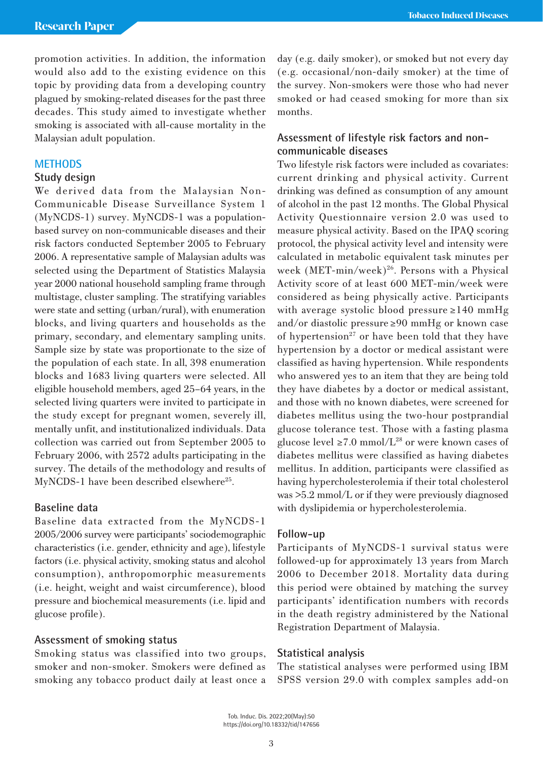promotion activities. In addition, the information would also add to the existing evidence on this topic by providing data from a developing country plagued by smoking-related diseases for the past three decades. This study aimed to investigate whether smoking is associated with all-cause mortality in the Malaysian adult population.

### **METHODS**

### **Study design**

We derived data from the Malaysian Non-Communicable Disease Surveillance System 1 (MyNCDS-1) survey. MyNCDS-1 was a populationbased survey on non-communicable diseases and their risk factors conducted September 2005 to February 2006. A representative sample of Malaysian adults was selected using the Department of Statistics Malaysia year 2000 national household sampling frame through multistage, cluster sampling. The stratifying variables were state and setting (urban/rural), with enumeration blocks, and living quarters and households as the primary, secondary, and elementary sampling units. Sample size by state was proportionate to the size of the population of each state. In all, 398 enumeration blocks and 1683 living quarters were selected. All eligible household members, aged 25–64 years, in the selected living quarters were invited to participate in the study except for pregnant women, severely ill, mentally unfit, and institutionalized individuals. Data collection was carried out from September 2005 to February 2006, with 2572 adults participating in the survey. The details of the methodology and results of MyNCDS-1 have been described elsewhere<sup>25</sup>.

# **Baseline data**

Baseline data extracted from the MyNCDS-1 2005/2006 survey were participants' sociodemographic characteristics (i.e. gender, ethnicity and age), lifestyle factors (i.e. physical activity, smoking status and alcohol consumption), anthropomorphic measurements (i.e. height, weight and waist circumference), blood pressure and biochemical measurements (i.e. lipid and glucose profile).

### **Assessment of smoking status**

Smoking status was classified into two groups, smoker and non-smoker. Smokers were defined as smoking any tobacco product daily at least once a day (e.g. daily smoker), or smoked but not every day (e.g. occasional/non-daily smoker) at the time of the survey. Non-smokers were those who had never smoked or had ceased smoking for more than six months.

# **Assessment of lifestyle risk factors and noncommunicable diseases**

Two lifestyle risk factors were included as covariates: current drinking and physical activity. Current drinking was defined as consumption of any amount of alcohol in the past 12 months. The Global Physical Activity Questionnaire version 2.0 was used to measure physical activity. Based on the IPAQ scoring protocol, the physical activity level and intensity were calculated in metabolic equivalent task minutes per week (MET-min/week)<sup>26</sup>. Persons with a Physical Activity score of at least 600 MET-min/week were considered as being physically active. Participants with average systolic blood pressure ≥140 mmHg and/or diastolic pressure≥90 mmHg or known case of hypertension<sup>27</sup> or have been told that they have hypertension by a doctor or medical assistant were classified as having hypertension. While respondents who answered yes to an item that they are being told they have diabetes by a doctor or medical assistant, and those with no known diabetes, were screened for diabetes mellitus using the two-hour postprandial glucose tolerance test. Those with a fasting plasma glucose level ≥7.0 mmol/L<sup>28</sup> or were known cases of diabetes mellitus were classified as having diabetes mellitus. In addition, participants were classified as having hypercholesterolemia if their total cholesterol was >5.2 mmol/L or if they were previously diagnosed with dyslipidemia or hypercholesterolemia.

### **Follow-up**

Participants of MyNCDS-1 survival status were followed-up for approximately 13 years from March 2006 to December 2018. Mortality data during this period were obtained by matching the survey participants' identification numbers with records in the death registry administered by the National Registration Department of Malaysia.

### **Statistical analysis**

The statistical analyses were performed using IBM SPSS version 29.0 with complex samples add-on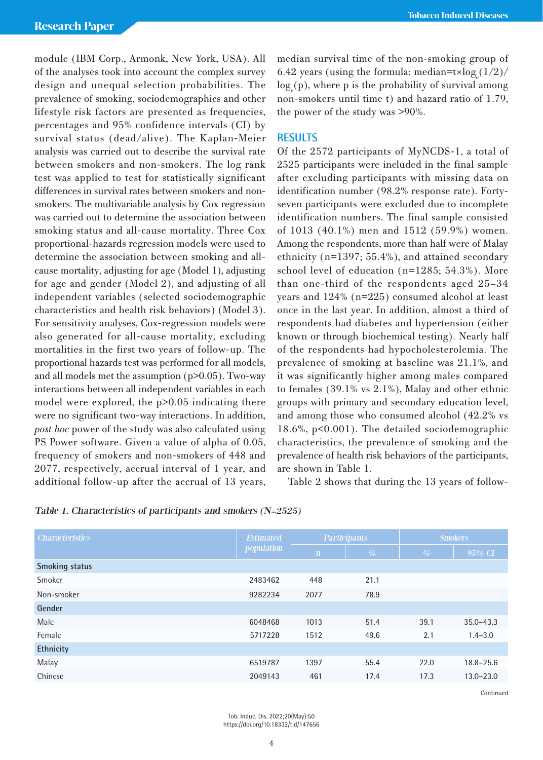module (IBM Corp., Armonk, New York, USA). All of the analyses took into account the complex survey design and unequal selection probabilities. The prevalence of smoking, sociodemographics and other lifestyle risk factors are presented as frequencies, percentages and 95% confidence intervals (CI) by survival status (dead/alive). The Kaplan-Meier analysis was carried out to describe the survival rate between smokers and non-smokers. The log rank test was applied to test for statistically significant differences in survival rates between smokers and nonsmokers. The multivariable analysis by Cox regression was carried out to determine the association between smoking status and all-cause mortality. Three Cox proportional-hazards regression models were used to determine the association between smoking and allcause mortality, adjusting for age (Model 1), adjusting for age and gender (Model 2), and adjusting of all independent variables (selected sociodemographic characteristics and health risk behaviors) (Model 3). For sensitivity analyses, Cox-regression models were also generated for all-cause mortality, excluding mortalities in the first two years of follow-up. The proportional hazards test was performed for all models, and all models met the assumption (p>0.05). Two-way interactions between all independent variables in each model were explored, the p>0.05 indicating there were no significant two-way interactions. In addition, *post hoc* power of the study was also calculated using PS Power software. Given a value of alpha of 0.05, frequency of smokers and non-smokers of 448 and 2077, respectively, accrual interval of 1 year, and additional follow-up after the accrual of 13 years,

median survival time of the non-smoking group of 6.42 years (using the formula: median= $t \times log_e(1/2)$ /  $\log_{\rm e}({\rm p}),$  where p is the probability of survival among non-smokers until time t) and hazard ratio of 1.79, the power of the study was >90%.

# **RESULTS**

Of the 2572 participants of MyNCDS-1, a total of 2525 participants were included in the final sample after excluding participants with missing data on identification number (98.2% response rate). Fortyseven participants were excluded due to incomplete identification numbers. The final sample consisted of 1013 (40.1%) men and 1512 (59.9%) women. Among the respondents, more than half were of Malay ethnicity (n=1397; 55.4%), and attained secondary school level of education (n=1285; 54.3%). More than one-third of the respondents aged 25–34 years and 124% (n=225) consumed alcohol at least once in the last year. In addition, almost a third of respondents had diabetes and hypertension (either known or through biochemical testing). Nearly half of the respondents had hypocholesterolemia. The prevalence of smoking at baseline was 21.1%, and it was significantly higher among males compared to females (39.1% vs 2.1%), Malay and other ethnic groups with primary and secondary education level, and among those who consumed alcohol (42.2% vs 18.6%, p<0.001). The detailed sociodemographic characteristics, the prevalence of smoking and the prevalence of health risk behaviors of the participants, are shown in Table 1.

Table 2 shows that during the 13 years of follow-

| <b>Characteristics</b> | <b>Estimated</b><br><i>population</i> | <b>Participants</b> |      | <b>Smokers</b> |               |
|------------------------|---------------------------------------|---------------------|------|----------------|---------------|
|                        |                                       | $\mathbf n$         | $\%$ | $\%$           | $95\%$ CI     |
| <b>Smoking status</b>  |                                       |                     |      |                |               |
| Smoker                 | 2483462                               | 448                 | 21.1 |                |               |
| Non-smoker             | 9282234                               | 2077                | 78.9 |                |               |
| Gender                 |                                       |                     |      |                |               |
| Male                   | 6048468                               | 1013                | 51.4 | 39.1           | $35.0 - 43.3$ |
| Female                 | 5717228                               | 1512                | 49.6 | 2.1            | $1.4 - 3.0$   |
| Ethnicity              |                                       |                     |      |                |               |
| Malay                  | 6519787                               | 1397                | 55.4 | 22.0           | $18.8 - 25.6$ |
| Chinese                | 2049143                               | 461                 | 17.4 | 17.3           | $13.0 - 23.0$ |

#### Table 1. Characteristics of participants and smokers (N=2525)

Continued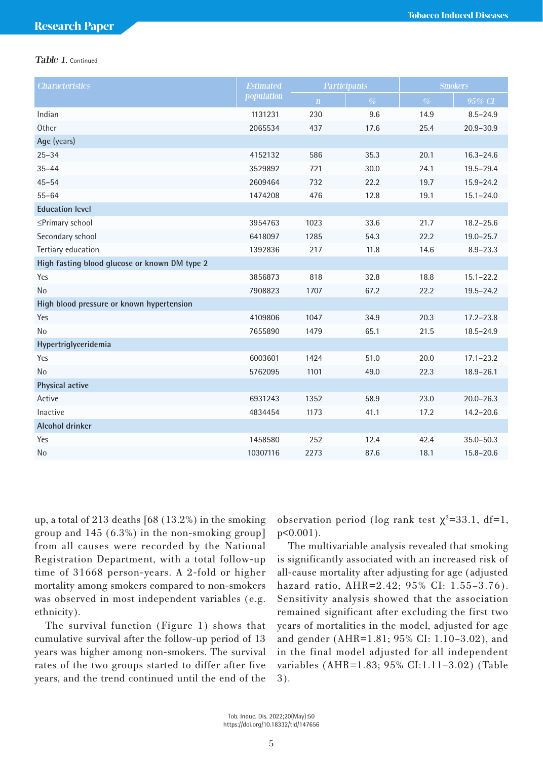#### Table 1. Continued

| <b>Characteristics</b>                        | <b>Estimated</b><br>population | Participants |      | <b>Smokers</b> |               |
|-----------------------------------------------|--------------------------------|--------------|------|----------------|---------------|
|                                               |                                | $\mathbf{n}$ | $\%$ | $\%$           | 95% CI        |
| Indian                                        | 1131231                        | 230          | 9.6  | 14.9           | $8.5 - 24.9$  |
| Other                                         | 2065534                        | 437          | 17.6 | 25.4           | $20.9 - 30.9$ |
| Age (years)                                   |                                |              |      |                |               |
| $25 - 34$                                     | 4152132                        | 586          | 35.3 | 20.1           | $16.3 - 24.6$ |
| $35 - 44$                                     | 3529892                        | 721          | 30.0 | 24.1           | $19.5 - 29.4$ |
| $45 - 54$                                     | 2609464                        | 732          | 22.2 | 19.7           | $15.9 - 24.2$ |
| $55 - 64$                                     | 1474208                        | 476          | 12.8 | 19.1           | $15.1 - 24.0$ |
| <b>Education level</b>                        |                                |              |      |                |               |
| $\leq$ Primary school                         | 3954763                        | 1023         | 33.6 | 21.7           | $18.2 - 25.6$ |
| Secondary school                              | 6418097                        | 1285         | 54.3 | 22.2           | $19.0 - 25.7$ |
| Tertiary education                            | 1392836                        | 217          | 11.8 | 14.6           | $8.9 - 23.3$  |
| High fasting blood glucose or known DM type 2 |                                |              |      |                |               |
| Yes                                           | 3856873                        | 818          | 32.8 | 18.8           | $15.1 - 22.2$ |
| No                                            | 7908823                        | 1707         | 67.2 | 22.2           | $19.5 - 24.2$ |
| High blood pressure or known hypertension     |                                |              |      |                |               |
| Yes                                           | 4109806                        | 1047         | 34.9 | 20.3           | $17.2 - 23.8$ |
| N <sub>o</sub>                                | 7655890                        | 1479         | 65.1 | 21.5           | $18.5 - 24.9$ |
| Hypertriglyceridemia                          |                                |              |      |                |               |
| Yes                                           | 6003601                        | 1424         | 51.0 | 20.0           | $17.1 - 23.2$ |
| No                                            | 5762095                        | 1101         | 49.0 | 22.3           | $18.9 - 26.1$ |
| Physical active                               |                                |              |      |                |               |
| Active                                        | 6931243                        | 1352         | 58.9 | 23.0           | $20.0 - 26.3$ |
| Inactive                                      | 4834454                        | 1173         | 41.1 | 17.2           | $14.2 - 20.6$ |
| Alcohol drinker                               |                                |              |      |                |               |
| Yes                                           | 1458580                        | 252          | 12.4 | 42.4           | $35.0 - 50.3$ |
| No                                            | 10307116                       | 2273         | 87.6 | 18.1           | $15.8 - 20.6$ |

up, a total of 213 deaths [68 (13.2%) in the smoking group and 145 (6.3%) in the non-smoking group] from all causes were recorded by the National Registration Department, with a total follow-up time of 31668 person-years. A 2-fold or higher mortality among smokers compared to non-smokers was observed in most independent variables (e.g. ethnicity).

The survival function (Figure 1) shows that cumulative survival after the follow-up period of 13 years was higher among non-smokers. The survival rates of the two groups started to differ after five years, and the trend continued until the end of the

observation period (log rank test  $\chi^2$ =33.1, df=1, p<0.001).

The multivariable analysis revealed that smoking is significantly associated with an increased risk of all-cause mortality after adjusting for age (adjusted hazard ratio, AHR=2.42; 95% CI: 1.55–3.76). Sensitivity analysis showed that the association remained significant after excluding the first two years of mortalities in the model, adjusted for age and gender (AHR=1.81; 95% CI: 1.10–3.02), and in the final model adjusted for all independent variables (AHR=1.83; 95% CI:1.11–3.02) (Table 3).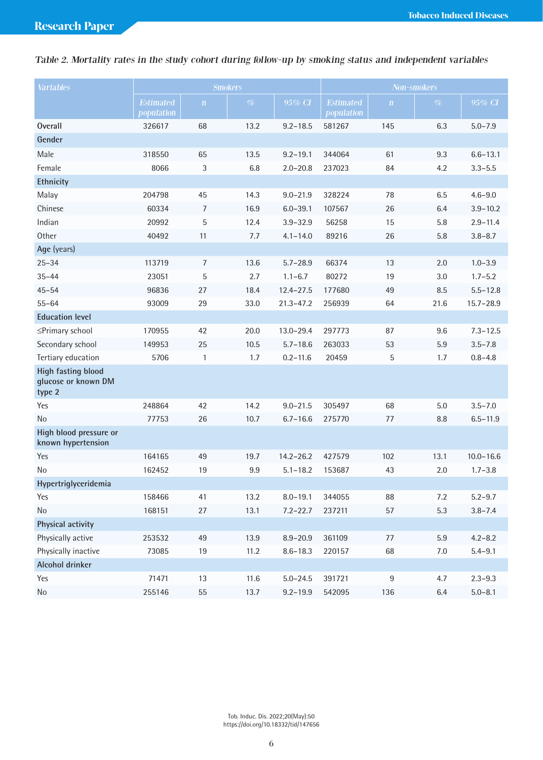# Table 2. Mortality rates in the study cohort during follow-up by smoking status and independent variables

| Variables                                                  |                                | <b>Smokers</b> |      | <b>Non-smokers</b> |                                |              |         |               |
|------------------------------------------------------------|--------------------------------|----------------|------|--------------------|--------------------------------|--------------|---------|---------------|
|                                                            | <b>Estimated</b><br>population | $\mathbf n$    | $\%$ | 95% CI             | <b>Estimated</b><br>population | $\mathbf{n}$ | $\%$    | 95% CI        |
| <b>Overall</b>                                             | 326617                         | 68             | 13.2 | $9.2 - 18.5$       | 581267                         | 145          | 6.3     | $5.0 - 7.9$   |
| Gender                                                     |                                |                |      |                    |                                |              |         |               |
| Male                                                       | 318550                         | 65             | 13.5 | $9.2 - 19.1$       | 344064                         | 61           | 9.3     | $6.6 - 13.1$  |
| Female                                                     | 8066                           | 3              | 6.8  | $2.0 - 20.8$       | 237023                         | 84           | 4.2     | $3.3 - 5.5$   |
| Ethnicity                                                  |                                |                |      |                    |                                |              |         |               |
| Malay                                                      | 204798                         | 45             | 14.3 | $9.0 - 21.9$       | 328224                         | 78           | 6.5     | $4.6 - 9.0$   |
| Chinese                                                    | 60334                          | 7              | 16.9 | $6.0 - 39.1$       | 107567                         | 26           | 6.4     | $3.9 - 10.2$  |
| Indian                                                     | 20992                          | 5              | 12.4 | $3.9 - 32.9$       | 56258                          | 15           | 5.8     | $2.9 - 11.4$  |
| Other                                                      | 40492                          | 11             | 7.7  | $4.1 - 14.0$       | 89216                          | 26           | 5.8     | $3.8 - 8.7$   |
| Age (years)                                                |                                |                |      |                    |                                |              |         |               |
| $25 - 34$                                                  | 113719                         | 7              | 13.6 | $5.7 - 28.9$       | 66374                          | 13           | 2.0     | $1.0 - 3.9$   |
| $35 - 44$                                                  | 23051                          | 5              | 2.7  | $1.1 - 6.7$        | 80272                          | 19           | 3.0     | $1.7 - 5.2$   |
| $45 - 54$                                                  | 96836                          | 27             | 18.4 | $12.4 - 27.5$      | 177680                         | 49           | 8.5     | $5.5 - 12.8$  |
| $55 - 64$                                                  | 93009                          | 29             | 33.0 | $21.3 - 47.2$      | 256939                         | 64           | 21.6    | $15.7 - 28.9$ |
| <b>Education level</b>                                     |                                |                |      |                    |                                |              |         |               |
| $\leq$ Primary school                                      | 170955                         | 42             | 20.0 | $13.0 - 29.4$      | 297773                         | 87           | 9.6     | $7.3 - 12.5$  |
| Secondary school                                           | 149953                         | 25             | 10.5 | $5.7 - 18.6$       | 263033                         | 53           | 5.9     | $3.5 - 7.8$   |
| Tertiary education                                         | 5706                           | $\mathbf{1}$   | 1.7  | $0.2 - 11.6$       | 20459                          | 5            | 1.7     | $0.8 - 4.8$   |
| <b>High fasting blood</b><br>glucose or known DM<br>type 2 |                                |                |      |                    |                                |              |         |               |
| Yes                                                        | 248864                         | 42             | 14.2 | $9.0 - 21.5$       | 305497                         | 68           | 5.0     | $3.5 - 7.0$   |
| N <sub>o</sub>                                             | 77753                          | 26             | 10.7 | $6.7 - 16.6$       | 275770                         | 77           | 8.8     | $6.5 - 11.9$  |
| High blood pressure or<br>known hypertension               |                                |                |      |                    |                                |              |         |               |
| Yes                                                        | 164165                         | 49             | 19.7 | $14.2 - 26.2$      | 427579                         | 102          | 13.1    | $10.0 - 16.6$ |
| N <sub>o</sub>                                             | 162452                         | 19             | 9.9  | $5.1 - 18.2$       | 153687                         | 43           | 2.0     | $1.7 - 3.8$   |
| Hypertriglyceridemia                                       |                                |                |      |                    |                                |              |         |               |
| Yes                                                        | 158466                         | 41             | 13.2 | $8.0 - 19.1$       | 344055                         | 88           | 7.2     | $5.2 - 9.7$   |
| No                                                         | 168151                         | 27             | 13.1 | $7.2 - 22.7$       | 237211                         | 57           | 5.3     | $3.8 - 7.4$   |
| Physical activity                                          |                                |                |      |                    |                                |              |         |               |
| Physically active                                          | 253532                         | 49             | 13.9 | $8.9 - 20.9$       | 361109                         | 77           | $5.9\,$ | $4.2 - 8.2$   |
| Physically inactive                                        | 73085                          | 19             | 11.2 | $8.6 - 18.3$       | 220157                         | 68           | $7.0\,$ | $5.4 - 9.1$   |
| Alcohol drinker                                            |                                |                |      |                    |                                |              |         |               |
| Yes                                                        | 71471                          | 13             | 11.6 | $5.0 - 24.5$       | 391721                         | 9            | 4.7     | $2.3 - 9.3$   |
| No                                                         | 255146                         | 55             | 13.7 | $9.2 - 19.9$       | 542095                         | 136          | 6.4     | $5.0 - 8.1$   |

Tob. Induc. Dis. 2022;20(May):50 https://doi.org/10.18332/tid/147656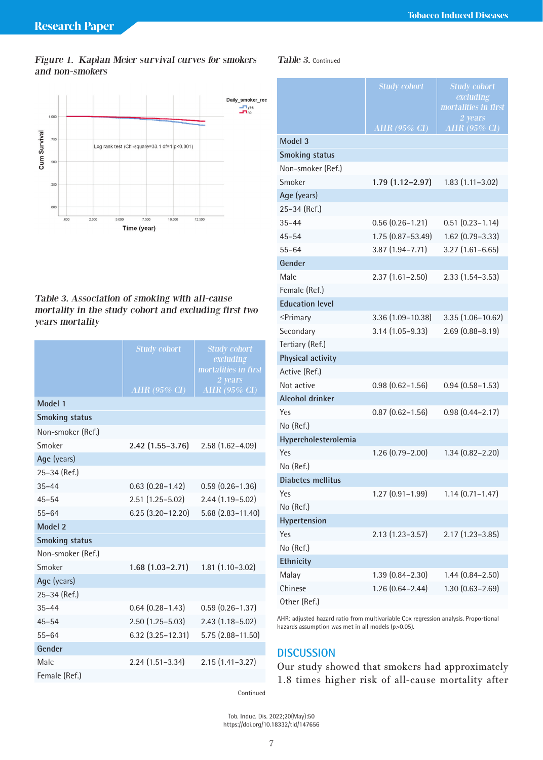# Figure 1. Kaplan Meier survival curves for smokers and non-smokers



# Table 3. Association of smoking with all-cause mortality in the study cohort and excluding first two years mortality

|                       | <b>Study cohort</b><br><b>AHR</b> (95% CI) | <b>Study cohort</b><br>excluding<br>mortalities in first<br>2 years<br><b>AHR</b> (95% CI) |
|-----------------------|--------------------------------------------|--------------------------------------------------------------------------------------------|
| Model 1               |                                            |                                                                                            |
| <b>Smoking status</b> |                                            |                                                                                            |
| Non-smoker (Ref.)     |                                            |                                                                                            |
| Smoker                | $2.42$ (1.55-3.76)                         | $2.58(1.62 - 4.09)$                                                                        |
| Age (years)           |                                            |                                                                                            |
| $25-34$ (Ref.)        |                                            |                                                                                            |
| $35 - 44$             | $0.63(0.28 - 1.42)$                        | $0.59(0.26 - 1.36)$                                                                        |
| $45 - 54$             | $2.51(1.25 - 5.02)$                        | $2.44(1.19-5.02)$                                                                          |
| $55 - 64$             | $6.25$ $(3.20 - 12.20)$                    | $5.68$ $(2.83 - 11.40)$                                                                    |
| Model 2               |                                            |                                                                                            |
| <b>Smoking status</b> |                                            |                                                                                            |
| Non-smoker (Ref.)     |                                            |                                                                                            |
| Smoker                | $1.68$ $(1.03 - 2.71)$                     | $1.81(1.10-3.02)$                                                                          |
| Age (years)           |                                            |                                                                                            |
| 25-34 (Ref.)          |                                            |                                                                                            |
| $35 - 44$             | $0.64(0.28 - 1.43)$                        | $0.59(0.26 - 1.37)$                                                                        |
| $45 - 54$             | $2.50(1.25 - 5.03)$                        | $2.43(1.18 - 5.02)$                                                                        |
| $55 - 64$             | $6.32$ $(3.25 - 12.31)$                    | $5.75(2.88 - 11.50)$                                                                       |
| Gender                |                                            |                                                                                            |
| Male                  | $2.24(1.51 - 3.34)$                        | $2.15(1.41 - 3.27)$                                                                        |
| Female (Ref.)         |                                            |                                                                                            |

### Table 3. Continued

|                        | <b>Study cohort</b>    | <b>Study cohort</b><br>excluding<br>mortalities in first |
|------------------------|------------------------|----------------------------------------------------------|
|                        | AHR (95% CI)           | 2 years<br><b>AHR</b> (95% CI)                           |
| Model 3                |                        |                                                          |
| <b>Smoking status</b>  |                        |                                                          |
| Non-smoker (Ref.)      |                        |                                                          |
| Smoker                 | $1.79(1.12 - 2.97)$    | $1.83(1.11 - 3.02)$                                      |
| Age (years)            |                        |                                                          |
| 25-34 (Ref.)           |                        |                                                          |
| $35 - 44$              | $0.56(0.26 - 1.21)$    | $0.51$ $(0.23 - 1.14)$                                   |
| $45 - 54$              | 1.75 (0.87-53.49)      | $1.62$ (0.79-3.33)                                       |
| $55 - 64$              | 3.87 (1.94-7.71)       | $3.27(1.61 - 6.65)$                                      |
| Gender                 |                        |                                                          |
| Male                   | $2.37(1.61 - 2.50)$    | $2.33(1.54 - 3.53)$                                      |
| Female (Ref.)          |                        |                                                          |
| <b>Education level</b> |                        |                                                          |
| $\leq$ Primary         | 3.36 (1.09-10.38)      | $3.35(1.06 - 10.62)$                                     |
| Secondary              | $3.14(1.05 - 9.33)$    | $2.69$ $(0.88 - 8.19)$                                   |
| Tertiary (Ref.)        |                        |                                                          |
| Physical activity      |                        |                                                          |
| Active (Ref.)          |                        |                                                          |
| Not active             | $0.98(0.62 - 1.56)$    | $0.94$ $(0.58 - 1.53)$                                   |
| <b>Alcohol drinker</b> |                        |                                                          |
| Yes                    | $0.87$ $(0.62 - 1.56)$ | $0.98(0.44 - 2.17)$                                      |
| No (Ref.)              |                        |                                                          |
| Hypercholesterolemia   |                        |                                                          |
| Yes                    | $1.26(0.79 - 2.00)$    | $1.34(0.82 - 2.20)$                                      |
| No (Ref.)              |                        |                                                          |
| Diabetes mellitus      |                        |                                                          |
| Yes                    | $1.27(0.91 - 1.99)$    | $1.14(0.71 - 1.47)$                                      |
| No (Ref.)              |                        |                                                          |
| Hypertension           |                        |                                                          |
| Yes                    | $2.13(1.23 - 3.57)$    | 2.17 (1.23-3.85)                                         |
| No (Ref.)              |                        |                                                          |
| Ethnicity              |                        |                                                          |
| Malay                  | 1.39 (0.84-2.30)       | $1.44(0.84 - 2.50)$                                      |
| Chinese                | $1.26(0.64 - 2.44)$    | $1.30(0.63 - 2.69)$                                      |
| Other (Ref.)           |                        |                                                          |

AHR: adjusted hazard ratio from multivariable Cox regression analysis. Proportional hazards assumption was met in all models (p>0.05).

# **DISCUSSION**

Our study showed that smokers had approximately 1.8 times higher risk of all-cause mortality after

Continued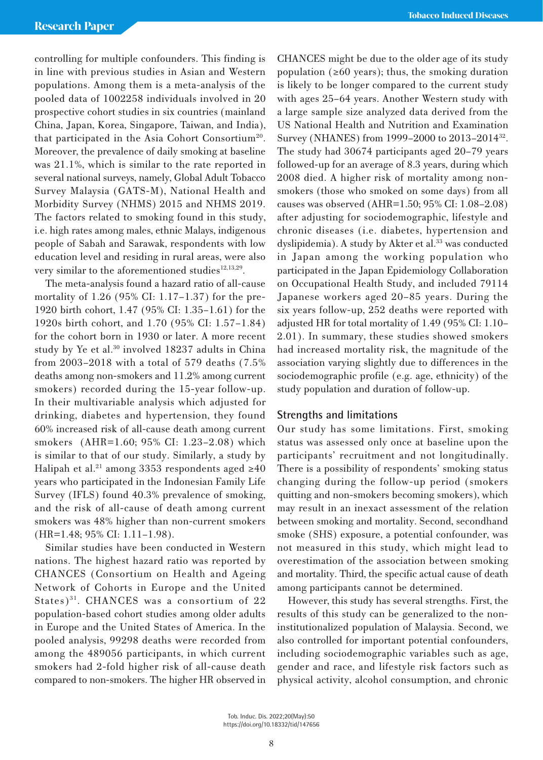controlling for multiple confounders. This finding is in line with previous studies in Asian and Western populations. Among them is a meta-analysis of the pooled data of 1002258 individuals involved in 20 prospective cohort studies in six countries (mainland China, Japan, Korea, Singapore, Taiwan, and India), that participated in the Asia Cohort Consortium<sup>20</sup>. Moreover, the prevalence of daily smoking at baseline was 21.1%, which is similar to the rate reported in several national surveys, namely, Global Adult Tobacco Survey Malaysia (GATS-M), National Health and Morbidity Survey (NHMS) 2015 and NHMS 2019. The factors related to smoking found in this study, i.e. high rates among males, ethnic Malays, indigenous people of Sabah and Sarawak, respondents with low education level and residing in rural areas, were also very similar to the aforementioned studies<sup>12,13,29</sup>.

The meta-analysis found a hazard ratio of all-cause mortality of 1.26 (95% CI: 1.17–1.37) for the pre-1920 birth cohort, 1.47 (95% CI: 1.35–1.61) for the 1920s birth cohort, and 1.70 (95% CI: 1.57–1.84) for the cohort born in 1930 or later. A more recent study by Ye et al.<sup>30</sup> involved 18237 adults in China from 2003–2018 with a total of 579 deaths (7.5% deaths among non-smokers and 11.2% among current smokers) recorded during the 15-year follow-up. In their multivariable analysis which adjusted for drinking, diabetes and hypertension, they found 60% increased risk of all-cause death among current smokers (AHR=1.60; 95% CI: 1.23–2.08) which is similar to that of our study. Similarly, a study by Halipah et al.<sup>21</sup> among 3353 respondents aged  $\geq 40$ years who participated in the Indonesian Family Life Survey (IFLS) found 40.3% prevalence of smoking, and the risk of all-cause of death among current smokers was 48% higher than non-current smokers (HR=1.48; 95% CI: 1.11–1.98).

Similar studies have been conducted in Western nations. The highest hazard ratio was reported by CHANCES (Consortium on Health and Ageing Network of Cohorts in Europe and the United States)<sup>31</sup>. CHANCES was a consortium of 22 population-based cohort studies among older adults in Europe and the United States of America. In the pooled analysis, 99298 deaths were recorded from among the 489056 participants, in which current smokers had 2-fold higher risk of all-cause death compared to non-smokers. The higher HR observed in

CHANCES might be due to the older age of its study population ( $\geq 60$  years); thus, the smoking duration is likely to be longer compared to the current study with ages 25–64 years. Another Western study with a large sample size analyzed data derived from the US National Health and Nutrition and Examination Survey (NHANES) from 1999–2000 to 2013–201432. The study had 30674 participants aged 20–79 years followed-up for an average of 8.3 years, during which 2008 died. A higher risk of mortality among nonsmokers (those who smoked on some days) from all causes was observed (AHR=1.50; 95% CI: 1.08–2.08) after adjusting for sociodemographic, lifestyle and chronic diseases (i.e. diabetes, hypertension and dyslipidemia). A study by Akter et al.<sup>33</sup> was conducted in Japan among the working population who participated in the Japan Epidemiology Collaboration on Occupational Health Study, and included 79114 Japanese workers aged 20–85 years. During the six years follow-up, 252 deaths were reported with adjusted HR for total mortality of 1.49 (95% CI: 1.10– 2.01). In summary, these studies showed smokers had increased mortality risk, the magnitude of the association varying slightly due to differences in the sociodemographic profile (e.g. age, ethnicity) of the study population and duration of follow-up.

## **Strengths and limitations**

Our study has some limitations. First, smoking status was assessed only once at baseline upon the participants' recruitment and not longitudinally. There is a possibility of respondents' smoking status changing during the follow-up period (smokers quitting and non-smokers becoming smokers), which may result in an inexact assessment of the relation between smoking and mortality. Second, secondhand smoke (SHS) exposure, a potential confounder, was not measured in this study, which might lead to overestimation of the association between smoking and mortality. Third, the specific actual cause of death among participants cannot be determined.

However, this study has several strengths. First, the results of this study can be generalized to the noninstitutionalized population of Malaysia. Second, we also controlled for important potential confounders, including sociodemographic variables such as age, gender and race, and lifestyle risk factors such as physical activity, alcohol consumption, and chronic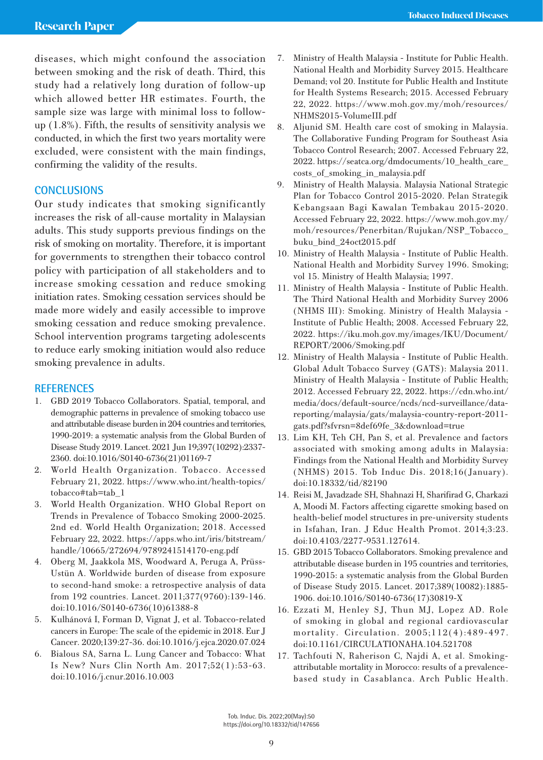diseases, which might confound the association between smoking and the risk of death. Third, this study had a relatively long duration of follow-up which allowed better HR estimates. Fourth, the sample size was large with minimal loss to followup (1.8%). Fifth, the results of sensitivity analysis we conducted, in which the first two years mortality were excluded, were consistent with the main findings, confirming the validity of the results.

## **CONCLUSIONS**

Our study indicates that smoking significantly increases the risk of all-cause mortality in Malaysian adults. This study supports previous findings on the risk of smoking on mortality. Therefore, it is important for governments to strengthen their tobacco control policy with participation of all stakeholders and to increase smoking cessation and reduce smoking initiation rates. Smoking cessation services should be made more widely and easily accessible to improve smoking cessation and reduce smoking prevalence. School intervention programs targeting adolescents to reduce early smoking initiation would also reduce smoking prevalence in adults.

# **REFERENCES**

- 1. GBD 2019 Tobacco Collaborators. Spatial, temporal, and demographic patterns in prevalence of smoking tobacco use and attributable disease burden in 204 countries and territories, 1990-2019: a systematic analysis from the Global Burden of Disease Study 2019. Lancet. 2021 Jun 19;397(10292):2337- 2360. doi:10.1016/S0140-6736(21)01169-7
- 2. World Health Organization. Tobacco. Accessed February 21, 2022. https://www.who.int/health-topics/ tobacco#tab=tab\_1
- 3. World Health Organization. WHO Global Report on Trends in Prevalence of Tobacco Smoking 2000-2025. 2nd ed. World Health Organization; 2018. Accessed February 22, 2022. https://apps.who.int/iris/bitstream/ handle/10665/272694/9789241514170-eng.pdf
- 4. Oberg M, Jaakkola MS, Woodward A, Peruga A, Prüss-Ustün A. Worldwide burden of disease from exposure to second-hand smoke: a retrospective analysis of data from 192 countries. Lancet. 2011;377(9760):139-146. doi:10.1016/S0140-6736(10)61388-8
- 5. Kulhánová I, Forman D, Vignat J, et al. Tobacco-related cancers in Europe: The scale of the epidemic in 2018. Eur J Cancer. 2020;139:27-36. doi:10.1016/j.ejca.2020.07.024
- 6. Bialous SA, Sarna L. Lung Cancer and Tobacco: What Is New? Nurs Clin North Am. 2017;52(1):53-63. doi:10.1016/j.cnur.2016.10.003
- 7. Ministry of Health Malaysia Institute for Public Health. National Health and Morbidity Survey 2015. Healthcare Demand; vol 20. Institute for Public Health and Institute for Health Systems Research; 2015. Accessed February 22, 2022. https://www.moh.gov.my/moh/resources/ NHMS2015-VolumeIII.pdf
- 8. Aljunid SM. Health care cost of smoking in Malaysia. The Collaborative Funding Program for Southeast Asia Tobacco Control Research; 2007. Accessed February 22, 2022. https://seatca.org/dmdocuments/10\_health\_care\_ costs\_of\_smoking\_in\_malaysia.pdf
- 9. Ministry of Health Malaysia. Malaysia National Strategic Plan for Tobacco Control 2015-2020. Pelan Strategik Kebangsaan Bagi Kawalan Tembakau 2015-2020. Accessed February 22, 2022. https://www.moh.gov.my/ moh/resources/Penerbitan/Rujukan/NSP\_Tobacco\_ buku\_bind\_24oct2015.pdf
- 10. Ministry of Health Malaysia Institute of Public Health. National Health and Morbidity Survey 1996. Smoking; vol 15. Ministry of Health Malaysia; 1997.
- 11. Ministry of Health Malaysia Institute of Public Health. The Third National Health and Morbidity Survey 2006 (NHMS III): Smoking. Ministry of Health Malaysia - Institute of Public Health; 2008. Accessed February 22, 2022. https://iku.moh.gov.my/images/IKU/Document/ REPORT/2006/Smoking.pdf
- 12. Ministry of Health Malaysia Institute of Public Health. Global Adult Tobacco Survey (GATS): Malaysia 2011. Ministry of Health Malaysia - Institute of Public Health; 2012. Accessed February 22, 2022. https://cdn.who.int/ media/docs/default-source/ncds/ncd-surveillance/datareporting/malaysia/gats/malaysia-country-report-2011 gats.pdf?sfvrsn=8def69fe\_3&download=true
- 13. Lim KH, Teh CH, Pan S, et al. Prevalence and factors associated with smoking among adults in Malaysia: Findings from the National Health and Morbidity Survey (NHMS) 2015. Tob Induc Dis. 2018;16(January). doi:10.18332/tid/82190
- 14. Reisi M, Javadzade SH, Shahnazi H, Sharifirad G, Charkazi A, Moodi M. Factors affecting cigarette smoking based on health-belief model structures in pre-university students in Isfahan, Iran. J Educ Health Promot. 2014;3:23. doi:10.4103/2277-9531.127614.
- 15. GBD 2015 Tobacco Collaborators. Smoking prevalence and attributable disease burden in 195 countries and territories, 1990-2015: a systematic analysis from the Global Burden of Disease Study 2015. Lancet. 2017;389(10082):1885- 1906. doi:10.1016/S0140-6736(17)30819-X
- 16. Ezzati M, Henley SJ, Thun MJ, Lopez AD. Role of smoking in global and regional cardiovascular mortality. Circulation. 2005;112(4):489-497. doi:10.1161/CIRCULATIONAHA.104.521708
- 17. Tachfouti N, Raherison C, Najdi A, et al. Smokingattributable mortality in Morocco: results of a prevalencebased study in Casablanca. Arch Public Health.